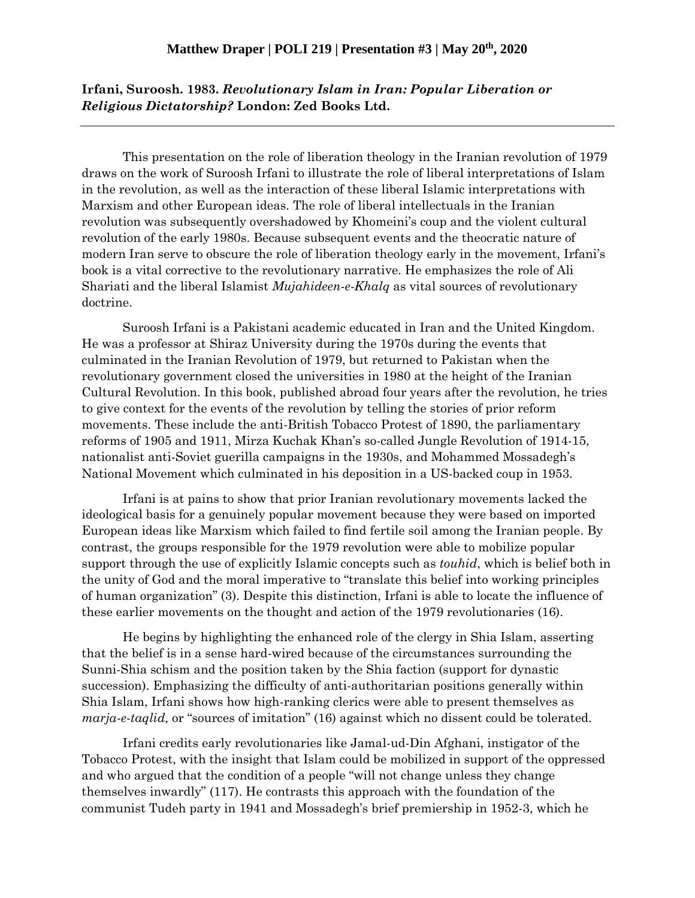## **Irfani, Suroosh. 1983.** *Revolutionary Islam in Iran: Popular Liberation or Religious Dictatorship?* **London: Zed Books Ltd.**

This presentation on the role of liberation theology in the Iranian revolution of 1979 draws on the work of Suroosh Irfani to illustrate the role of liberal interpretations of Islam in the revolution, as well as the interaction of these liberal Islamic interpretations with Marxism and other European ideas. The role of liberal intellectuals in the Iranian revolution was subsequently overshadowed by Khomeini's coup and the violent cultural revolution of the early 1980s. Because subsequent events and the theocratic nature of modern Iran serve to obscure the role of liberation theology early in the movement, Irfani's book is a vital corrective to the revolutionary narrative. He emphasizes the role of Ali Shariati and the liberal Islamist *Mujahideen-e-Khalq* as vital sources of revolutionary doctrine.

Suroosh Irfani is a Pakistani academic educated in Iran and the United Kingdom. He was a professor at Shiraz University during the 1970s during the events that culminated in the Iranian Revolution of 1979, but returned to Pakistan when the revolutionary government closed the universities in 1980 at the height of the Iranian Cultural Revolution. In this book, published abroad four years after the revolution, he tries to give context for the events of the revolution by telling the stories of prior reform movements. These include the anti-British Tobacco Protest of 1890, the parliamentary reforms of 1905 and 1911, Mirza Kuchak Khan's so-called Jungle Revolution of 1914-15, nationalist anti-Soviet guerilla campaigns in the 1930s, and Mohammed Mossadegh's National Movement which culminated in his deposition in a US-backed coup in 1953.

Irfani is at pains to show that prior Iranian revolutionary movements lacked the ideological basis for a genuinely popular movement because they were based on imported European ideas like Marxism which failed to find fertile soil among the Iranian people. By contrast, the groups responsible for the 1979 revolution were able to mobilize popular support through the use of explicitly Islamic concepts such as *touhid*, which is belief both in the unity of God and the moral imperative to "translate this belief into working principles of human organization" (3). Despite this distinction, Irfani is able to locate the influence of these earlier movements on the thought and action of the 1979 revolutionaries (16).

He begins by highlighting the enhanced role of the clergy in Shia Islam, asserting that the belief is in a sense hard-wired because of the circumstances surrounding the Sunni-Shia schism and the position taken by the Shia faction (support for dynastic succession). Emphasizing the difficulty of anti-authoritarian positions generally within Shia Islam, Irfani shows how high-ranking clerics were able to present themselves as *marja-e-taqlid*, or "sources of imitation" (16) against which no dissent could be tolerated.

Irfani credits early revolutionaries like Jamal-ud-Din Afghani, instigator of the Tobacco Protest, with the insight that Islam could be mobilized in support of the oppressed and who argued that the condition of a people "will not change unless they change themselves inwardly" (117). He contrasts this approach with the foundation of the communist Tudeh party in 1941 and Mossadegh's brief premiership in 1952-3, which he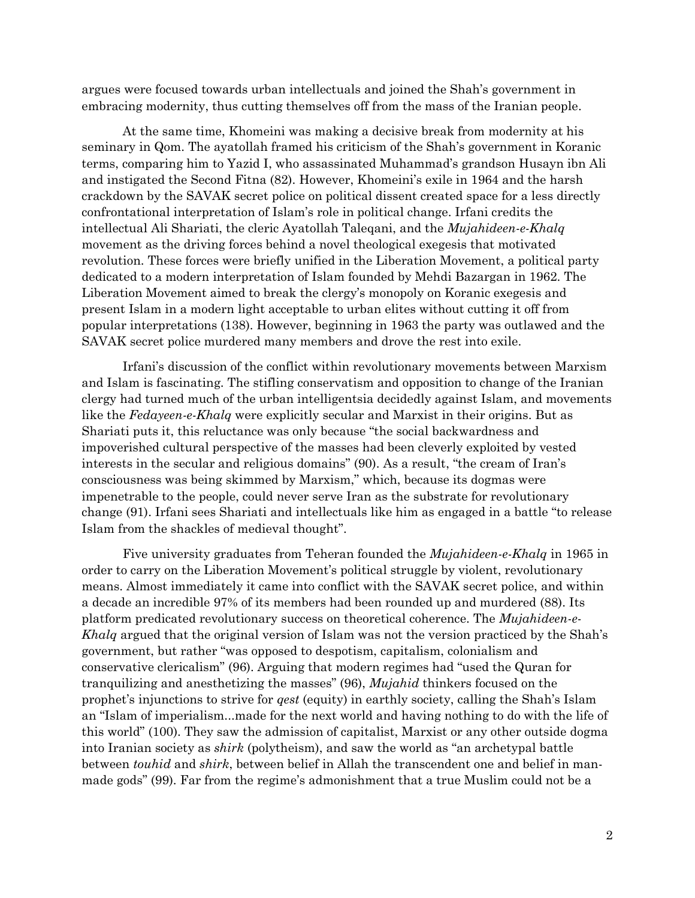argues were focused towards urban intellectuals and joined the Shah's government in embracing modernity, thus cutting themselves off from the mass of the Iranian people.

At the same time, Khomeini was making a decisive break from modernity at his seminary in Qom. The ayatollah framed his criticism of the Shah's government in Koranic terms, comparing him to Yazid I, who assassinated Muhammad's grandson Husayn ibn Ali and instigated the Second Fitna (82). However, Khomeini's exile in 1964 and the harsh crackdown by the SAVAK secret police on political dissent created space for a less directly confrontational interpretation of Islam's role in political change. Irfani credits the intellectual Ali Shariati, the cleric Ayatollah Taleqani, and the *Mujahideen-e-Khalq* movement as the driving forces behind a novel theological exegesis that motivated revolution. These forces were briefly unified in the Liberation Movement, a political party dedicated to a modern interpretation of Islam founded by Mehdi Bazargan in 1962. The Liberation Movement aimed to break the clergy's monopoly on Koranic exegesis and present Islam in a modern light acceptable to urban elites without cutting it off from popular interpretations (138). However, beginning in 1963 the party was outlawed and the SAVAK secret police murdered many members and drove the rest into exile.

Irfani's discussion of the conflict within revolutionary movements between Marxism and Islam is fascinating. The stifling conservatism and opposition to change of the Iranian clergy had turned much of the urban intelligentsia decidedly against Islam, and movements like the *Fedayeen-e-Khalq* were explicitly secular and Marxist in their origins. But as Shariati puts it, this reluctance was only because "the social backwardness and impoverished cultural perspective of the masses had been cleverly exploited by vested interests in the secular and religious domains" (90). As a result, "the cream of Iran's consciousness was being skimmed by Marxism," which, because its dogmas were impenetrable to the people, could never serve Iran as the substrate for revolutionary change (91). Irfani sees Shariati and intellectuals like him as engaged in a battle "to release Islam from the shackles of medieval thought".

Five university graduates from Teheran founded the *Mujahideen-e-Khalq* in 1965 in order to carry on the Liberation Movement's political struggle by violent, revolutionary means. Almost immediately it came into conflict with the SAVAK secret police, and within a decade an incredible 97% of its members had been rounded up and murdered (88). Its platform predicated revolutionary success on theoretical coherence. The *Mujahideen-e-Khalq* argued that the original version of Islam was not the version practiced by the Shah's government, but rather "was opposed to despotism, capitalism, colonialism and conservative clericalism" (96). Arguing that modern regimes had "used the Quran for tranquilizing and anesthetizing the masses" (96), *Mujahid* thinkers focused on the prophet's injunctions to strive for *qest* (equity) in earthly society, calling the Shah's Islam an "Islam of imperialism...made for the next world and having nothing to do with the life of this world" (100). They saw the admission of capitalist, Marxist or any other outside dogma into Iranian society as *shirk* (polytheism), and saw the world as "an archetypal battle between *touhid* and *shirk*, between belief in Allah the transcendent one and belief in manmade gods" (99). Far from the regime's admonishment that a true Muslim could not be a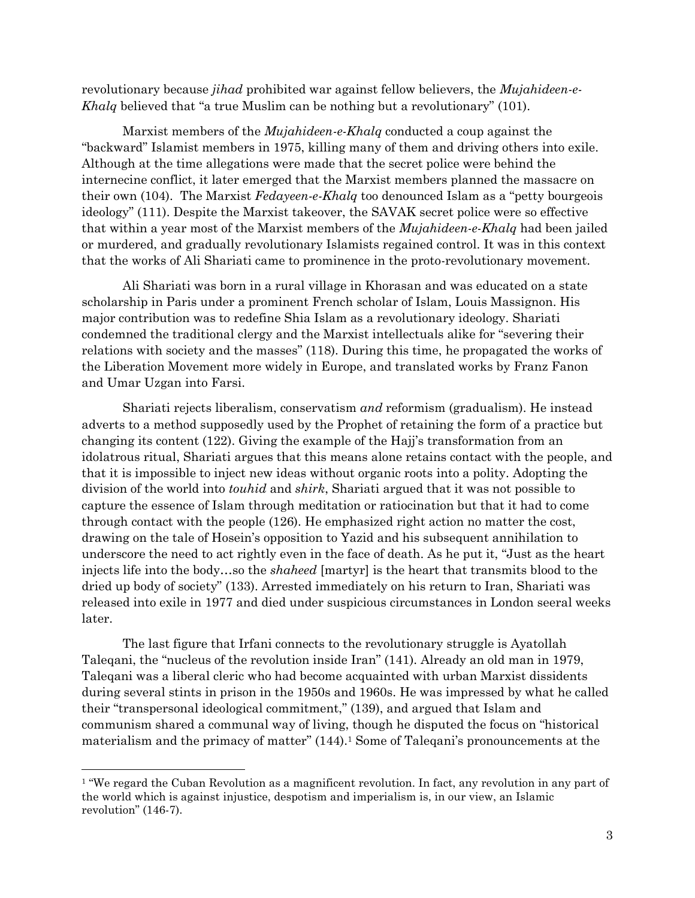revolutionary because *jihad* prohibited war against fellow believers, the *Mujahideen-e-Khalq* believed that "a true Muslim can be nothing but a revolutionary" (101).

Marxist members of the *Mujahideen-e-Khalq* conducted a coup against the "backward" Islamist members in 1975, killing many of them and driving others into exile. Although at the time allegations were made that the secret police were behind the internecine conflict, it later emerged that the Marxist members planned the massacre on their own (104). The Marxist *Fedayeen-e-Khalq* too denounced Islam as a "petty bourgeois ideology" (111). Despite the Marxist takeover, the SAVAK secret police were so effective that within a year most of the Marxist members of the *Mujahideen-e-Khalq* had been jailed or murdered, and gradually revolutionary Islamists regained control. It was in this context that the works of Ali Shariati came to prominence in the proto-revolutionary movement.

Ali Shariati was born in a rural village in Khorasan and was educated on a state scholarship in Paris under a prominent French scholar of Islam, Louis Massignon. His major contribution was to redefine Shia Islam as a revolutionary ideology. Shariati condemned the traditional clergy and the Marxist intellectuals alike for "severing their relations with society and the masses" (118). During this time, he propagated the works of the Liberation Movement more widely in Europe, and translated works by Franz Fanon and Umar Uzgan into Farsi.

Shariati rejects liberalism, conservatism *and* reformism (gradualism). He instead adverts to a method supposedly used by the Prophet of retaining the form of a practice but changing its content (122). Giving the example of the Hajj's transformation from an idolatrous ritual, Shariati argues that this means alone retains contact with the people, and that it is impossible to inject new ideas without organic roots into a polity. Adopting the division of the world into *touhid* and *shirk*, Shariati argued that it was not possible to capture the essence of Islam through meditation or ratiocination but that it had to come through contact with the people (126). He emphasized right action no matter the cost, drawing on the tale of Hosein's opposition to Yazid and his subsequent annihilation to underscore the need to act rightly even in the face of death. As he put it, "Just as the heart injects life into the body…so the *shaheed* [martyr] is the heart that transmits blood to the dried up body of society" (133). Arrested immediately on his return to Iran, Shariati was released into exile in 1977 and died under suspicious circumstances in London seeral weeks later.

The last figure that Irfani connects to the revolutionary struggle is Ayatollah Taleqani, the "nucleus of the revolution inside Iran" (141). Already an old man in 1979, Taleqani was a liberal cleric who had become acquainted with urban Marxist dissidents during several stints in prison in the 1950s and 1960s. He was impressed by what he called their "transpersonal ideological commitment," (139), and argued that Islam and communism shared a communal way of living, though he disputed the focus on "historical materialism and the primacy of matter" (144).<sup>1</sup> Some of Taleqani's pronouncements at the

<sup>&</sup>lt;sup>1</sup> "We regard the Cuban Revolution as a magnificent revolution. In fact, any revolution in any part of the world which is against injustice, despotism and imperialism is, in our view, an Islamic revolution" (146-7).